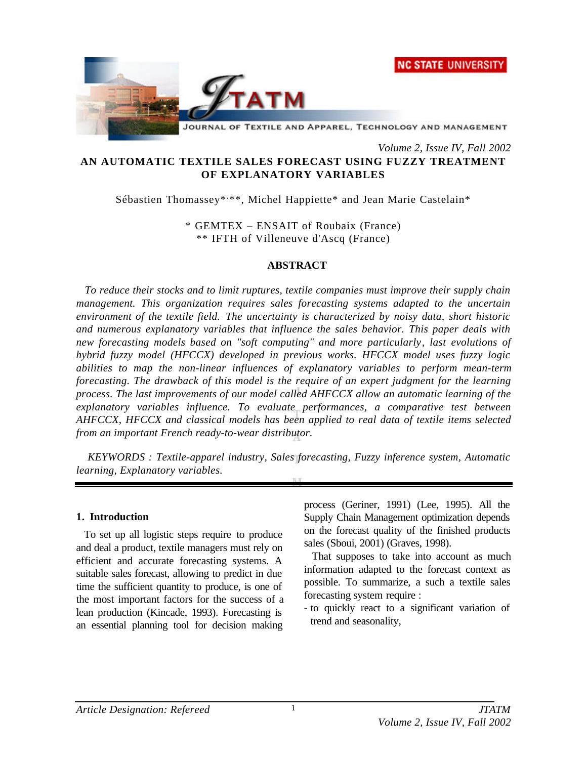



JOURNAL OF TEXTILE AND APPAREL, TECHNOLOGY AND MANAGEMENT

*Volume 2, Issue IV, Fall 2002*

# **AN AUTOMATIC TEXTILE SALES FORECAST USING FUZZY TREATMENT OF EXPLANATORY VARIABLES**

Sébastien Thomassey\*, \*\*, Michel Happiette\* and Jean Marie Castelain\*

\* GEMTEX – ENSAIT of Roubaix (France) \*\* IFTH of Villeneuve d'Ascq (France)

### **ABSTRACT**

*To reduce their stocks and to limit ruptures, textile companies must improve their supply chain management. This organization requires sales forecasting systems adapted to the uncertain environment of the textile field. The uncertainty is characterized by noisy data, short historic and numerous explanatory variables that influence the sales behavior. This paper deals with new forecasting models based on "soft computing" and more particularly, last evolutions of hybrid fuzzy model (HFCCX) developed in previous works. HFCCX model uses fuzzy logic abilities to map the non-linear influences of explanatory variables to perform mean-term forecasting. The drawback of this model is the require of an expert judgment for the learning process. The last improvements of our model called AHFCCX allow an automatic learning of the explanatory variables influence. To evaluate performances, a comparative test between AHFCCX, HFCCX and classical models has been applied to real data of textile items selected from an important French ready-to-wear distributor.*

*KEYWORDS : Textile-apparel industry, Sales forecasting, Fuzzy inference system, Automatic learning, Explanatory variables.*

### **1. Introduction**

To set up all logistic steps require to produce and deal a product, textile managers must rely on efficient and accurate forecasting systems. A suitable sales forecast, allowing to predict in due time the sufficient quantity to produce, is one of the most important factors for the success of a lean production (Kincade, 1993). Forecasting is an essential planning tool for decision making

process (Geriner, 1991) (Lee, 1995). All the Supply Chain Management optimization depends on the forecast quality of the finished products sales (Sboui, 2001) (Graves, 1998).

That supposes to take into account as much information adapted to the forecast context as possible. To summarize, a such a textile sales forecasting system require :

- to quickly react to a significant variation of trend and seasonality,

1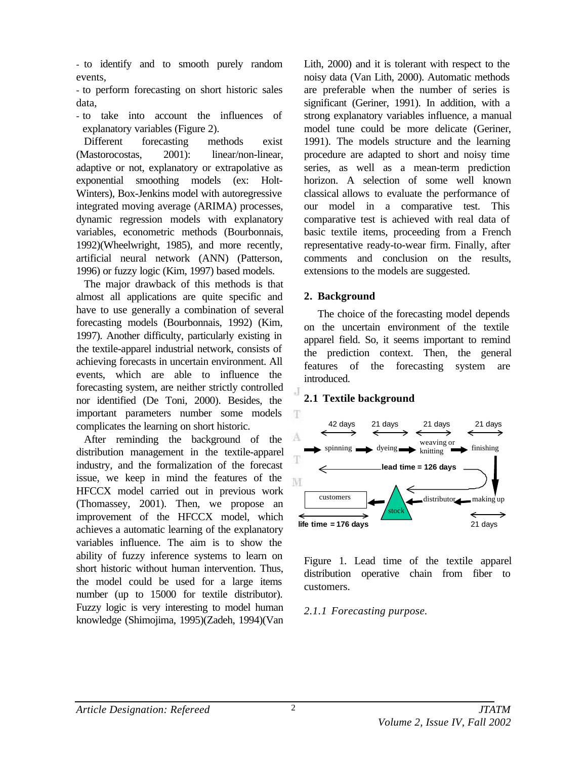- to identify and to smooth purely random events,

- to perform forecasting on short historic sales data,

- to take into account the influences of explanatory variables (Figure 2).

Different forecasting methods exist (Mastorocostas, 2001): linear/non-linear, adaptive or not, explanatory or extrapolative as exponential smoothing models (ex: Holt-Winters), Box-Jenkins model with autoregressive integrated moving average (ARIMA) processes, dynamic regression models with explanatory variables, econometric methods (Bourbonnais, 1992)(Wheelwright, 1985), and more recently, artificial neural network (ANN) (Patterson, 1996) or fuzzy logic (Kim, 1997) based models.

The major drawback of this methods is that almost all applications are quite specific and have to use generally a combination of several forecasting models (Bourbonnais, 1992) (Kim, 1997). Another difficulty, particularly existing in the textile-apparel industrial network, consists of achieving forecasts in uncertain environment. All events, which are able to influence the forecasting system, are neither strictly controlled nor identified (De Toni, 2000). Besides, the important parameters number some models complicates the learning on short historic.

After reminding the background of the distribution management in the textile-apparel industry, and the formalization of the forecast issue, we keep in mind the features of the HFCCX model carried out in previous work (Thomassey, 2001). Then, we propose an improvement of the HFCCX model, which achieves a automatic learning of the explanatory variables influence. The aim is to show the ability of fuzzy inference systems to learn on short historic without human intervention. Thus, the model could be used for a large items number (up to 15000 for textile distributor). Fuzzy logic is very interesting to model human knowledge (Shimojima, 1995)(Zadeh, 1994)(Van Lith, 2000) and it is tolerant with respect to the noisy data (Van Lith, 2000). Automatic methods are preferable when the number of series is significant (Geriner, 1991). In addition, with a strong explanatory variables influence, a manual model tune could be more delicate (Geriner, 1991). The models structure and the learning procedure are adapted to short and noisy time series, as well as a mean-term prediction horizon. A selection of some well known classical allows to evaluate the performance of our model in a comparative test. This comparative test is achieved with real data of basic textile items, proceeding from a French representative ready-to-wear firm. Finally, after comments and conclusion on the results, extensions to the models are suggested.

# **2. Background**

The choice of the forecasting model depends on the uncertain environment of the textile apparel field. So, it seems important to remind the prediction context. Then, the general features of the forecasting system are introduced.

# **2.1 Textile background**



Figure 1. Lead time of the textile apparel distribution operative chain from fiber to customers.

# *2.1.1 Forecasting purpose.*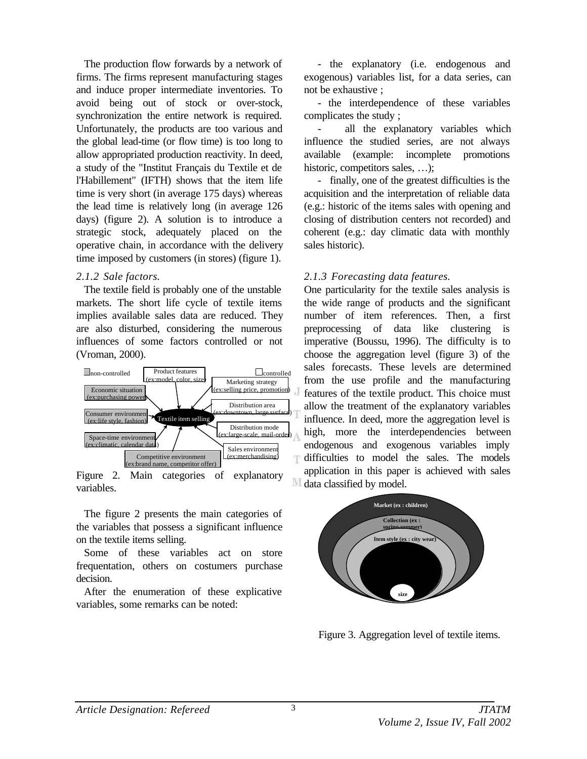The production flow forwards by a network of firms. The firms represent manufacturing stages and induce proper intermediate inventories. To avoid being out of stock or over-stock, synchronization the entire network is required. Unfortunately, the products are too various and the global lead-time (or flow time) is too long to allow appropriated production reactivity. In deed, a study of the "Institut Français du Textile et de l'Habillement" (IFTH) shows that the item life time is very short (in average 175 days) whereas the lead time is relatively long (in average 126 days) (figure 2). A solution is to introduce a strategic stock, adequately placed on the operative chain, in accordance with the delivery time imposed by customers (in stores) (figure 1).

### *2.1.2 Sale factors.*

The textile field is probably one of the unstable markets. The short life cycle of textile items implies available sales data are reduced. They are also disturbed, considering the numerous influences of some factors controlled or not (Vroman, 2000).



Figure 2. Main categories of explanatory variables.

The figure 2 presents the main categories of the variables that possess a significant influence on the textile items selling.

Some of these variables act on store frequentation, others on costumers purchase decision.

After the enumeration of these explicative variables, some remarks can be noted:

- the explanatory (i.e. endogenous and exogenous) variables list, for a data series, can not be exhaustive ;

- the interdependence of these variables complicates the study ;

- all the explanatory variables which influence the studied series, are not always available (example: incomplete promotions historic, competitors sales, ...);

- finally, one of the greatest difficulties is the acquisition and the interpretation of reliable data (e.g.: historic of the items sales with opening and closing of distribution centers not recorded) and coherent (e.g.: day climatic data with monthly sales historic).

# *2.1.3 Forecasting data features.*

One particularity for the textile sales analysis is the wide range of products and the significant number of item references. Then, a first preprocessing of data like clustering is imperative (Boussu, 1996). The difficulty is to choose the aggregation level (figure 3) of the sales forecasts. These levels are determined from the use profile and the manufacturing features of the textile product. This choice must allow the treatment of the explanatory variables influence. In deed, more the aggregation level is high, more the interdependencies between endogenous and exogenous variables imply difficulties to model the sales. The models application in this paper is achieved with sales data classified by model.



Figure 3. Aggregation level of textile items.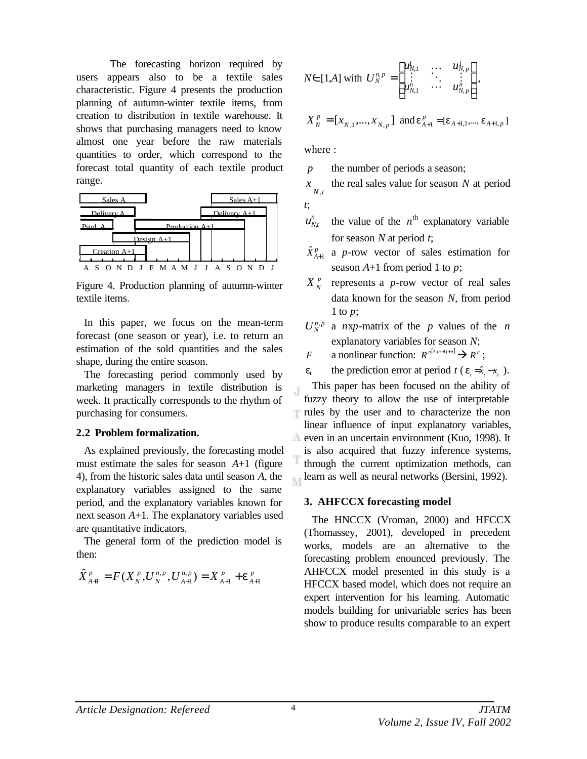The forecasting horizon required by users appears also to be a textile sales characteristic. Figure 4 presents the production planning of autumn-winter textile items, from creation to distribution in textile warehouse. It shows that purchasing managers need to know almost one year before the raw materials quantities to order, which correspond to the forecast total quantity of each textile product range.



Figure 4. Production planning of autumn-winter textile items.

In this paper, we focus on the mean-term forecast (one season or year), i.e. to return an estimation of the sold quantities and the sales shape, during the entire season.

The forecasting period commonly used by marketing managers in textile distribution is week. It practically corresponds to the rhythm of purchasing for consumers.

#### **2.2 Problem formalization.**

As explained previously, the forecasting model must estimate the sales for season *A*+1 (figure 4), from the historic sales data until season *A*, the explanatory variables assigned to the same period, and the explanatory variables known for next season *A*+1. The explanatory variables used are quantitative indicators.

The general form of the prediction model is then:

$$
\hat{X}_{A+1}^p = F(X_N^p, U_N^{n,p}, U_{A+1}^{n,p}) = X_{A+1}^p + e_{A+1}^p
$$

$$
N \in [1,A] \text{ with } U_N^{n,p} = \begin{bmatrix} u_{N,1}^1 & \dots & u_{N,p}^1 \\ \vdots & \ddots & \vdots \\ u_{N,1}^n & \dots & u_{N,p}^n \end{bmatrix},
$$

$$
X_N^p = [x_{N,1},...,x_{N,p}] \text{ and } \mathbf{e}_{A+1}^p = [\mathbf{e}_{A+1,1},...,\mathbf{e}_{A+1,p}]
$$

where :

*p* the number of periods a season;

*N t* , *x* the real sales value for season *N* at period *t*;

- $u_{N,t}^n$ the value of the  $n^{\text{th}}$  explanatory variable for season *N* at period *t*;
- $\hat{X}_{A\!+\!1}^p$ a *p*-row vector of sales estimation for season *A*+1 from period 1 to *p*;
- *p N X* represents a *p*-row vector of real sales data known for the season *N*, from period 1 to *p*;
- $U_N^{n,p}$  a *nxp*-matrix of the *p* values of the *n* explanatory variables for season *N*;
- *F* a nonlinear function:  $R^{p[A,(n+1)+n]} \to R^p$ ;
- *e<sub>t</sub>* the prediction error at period *t* ( $e_{i} = \hat{x}_{i} x_{i}$ ).

This paper has been focused on the ability of J fuzzy theory to allow the use of interpretable rules by the user and to characterize the non linear influence of input explanatory variables, even in an uncertain environment (Kuo, 1998). It is also acquired that fuzzy inference systems, through the current optimization methods, can learn as well as neural networks (Bersini, 1992). M

### **3. AHFCCX forecasting model**

The HNCCX (Vroman, 2000) and HFCCX (Thomassey, 2001), developed in precedent works, models are an alternative to the forecasting problem enounced previously. The AHFCCX model presented in this study is a HFCCX based model, which does not require an expert intervention for his learning. Automatic models building for univariable series has been show to produce results comparable to an expert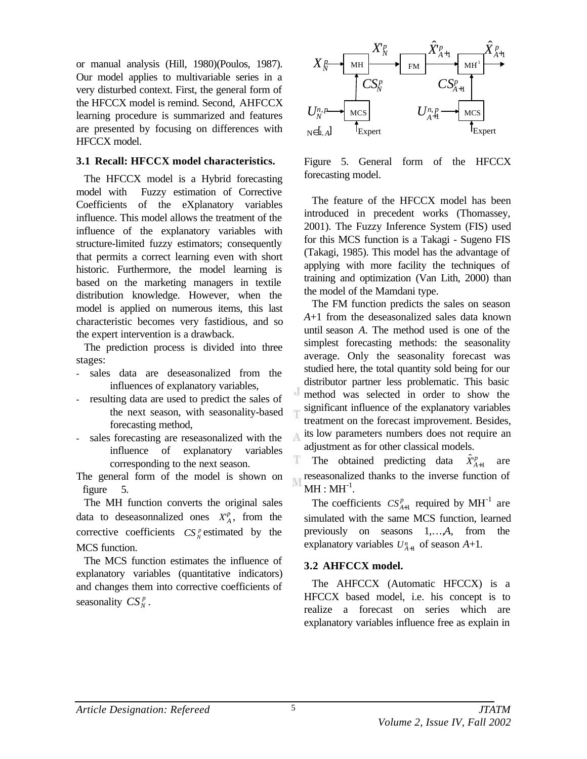or manual analysis (Hill, 1980)(Poulos, 1987). Our model applies to multivariable series in a very disturbed context. First, the general form of the HFCCX model is remind. Second, AHFCCX learning procedure is summarized and features are presented by focusing on differences with HFCCX model.

### **3.1 Recall: HFCCX model characteristics.**

The HFCCX model is a Hybrid forecasting model with Fuzzy estimation of Corrective Coefficients of the eXplanatory variables influence. This model allows the treatment of the influence of the explanatory variables with structure-limited fuzzy estimators; consequently that permits a correct learning even with short historic. Furthermore, the model learning is based on the marketing managers in textile distribution knowledge. However, when the model is applied on numerous items, this last characteristic becomes very fastidious, and so the expert intervention is a drawback.

The prediction process is divided into three stages:

- sales data are deseasonalized from the influences of explanatory variables,
- resulting data are used to predict the sales of the next season, with seasonality-based forecasting method,
- sales forecasting are reseasonalized with the influence of explanatory variables corresponding to the next season.

The general form of the model is shown on figure 5.

The MH function converts the original sales data to deseasonnalized ones  $X_A^p$ , from the corrective coefficients  $CS_N^p$  estimated by the MCS function.

The MCS function estimates the influence of explanatory variables (quantitative indicators) and changes them into corrective coefficients of seasonality  $CS_N^p$ .



Figure 5. General form of the HFCCX forecasting model.

The feature of the HFCCX model has been introduced in precedent works (Thomassey, 2001). The Fuzzy Inference System (FIS) used for this MCS function is a Takagi - Sugeno FIS (Takagi, 1985). This model has the advantage of applying with more facility the techniques of training and optimization (Van Lith, 2000) than the model of the Mamdani type.

The FM function predicts the sales on season *A*+1 from the deseasonalized sales data known until season *A*. The method used is one of the simplest forecasting methods: the seasonality average. Only the seasonality forecast was studied here, the total quantity sold being for our distributor partner less problematic. This basic method was selected in order to show the significant influence of the explanatory variables treatment on the forecast improvement. Besides, its low parameters numbers does not require an adjustment as for other classical models.

The obtained predicting data  $\hat{X}_{A+1}^p$  are reseasonalized thanks to the inverse function of  $\overline{M}$  $\mathrm{MH}:\mathrm{MH}^{\text{-}1}.$ 

The coefficients  $CS_{A+1}^p$  required by  $MH^{-1}$  are simulated with the same MCS function, learned previously on seasons 1,…,*A*, from the explanatory variables  $U_{A+1}^n$  of season  $A+1$ .

### **3.2 AHFCCX model.**

The AHFCCX (Automatic HFCCX) is a HFCCX based model, i.e. his concept is to realize a forecast on series which are explanatory variables influence free as explain in

A

Ŧ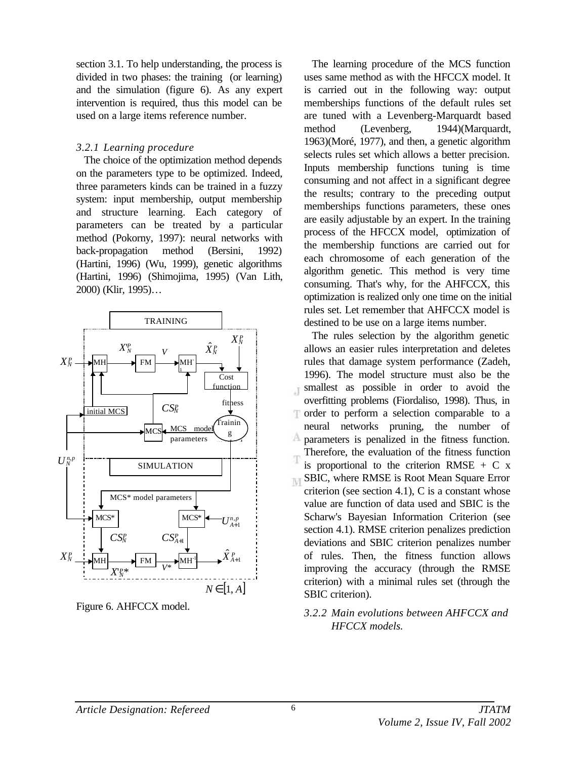section 3.1. To help understanding, the process is divided in two phases: the training (or learning) and the simulation (figure 6). As any expert intervention is required, thus this model can be used on a large items reference number.

### *3.2.1 Learning procedure*

The choice of the optimization method depends on the parameters type to be optimized. Indeed, three parameters kinds can be trained in a fuzzy system: input membership, output membership and structure learning. Each category of parameters can be treated by a particular method (Pokorny, 1997): neural networks with back-propagation method (Bersini, 1992) (Hartini, 1996) (Wu, 1999), genetic algorithms (Hartini, 1996) (Shimojima, 1995) (Van Lith, 2000) (Klir, 1995)…



Figure 6. AHFCCX model.

The learning procedure of the MCS function uses same method as with the HFCCX model. It is carried out in the following way: output memberships functions of the default rules set are tuned with a Levenberg-Marquardt based method (Levenberg, 1944)(Marquardt, 1963)(Moré, 1977), and then, a genetic algorithm selects rules set which allows a better precision. Inputs membership functions tuning is time consuming and not affect in a significant degree the results; contrary to the preceding output memberships functions parameters, these ones are easily adjustable by an expert. In the training process of the HFCCX model, optimization of the membership functions are carried out for each chromosome of each generation of the algorithm genetic. This method is very time consuming. That's why, for the AHFCCX, this optimization is realized only one time on the initial rules set. Let remember that AHFCCX model is destined to be use on a large items number.

The rules selection by the algorithm genetic allows an easier rules interpretation and deletes rules that damage system performance (Zadeh, 1996). The model structure must also be the smallest as possible in order to avoid the Ä overfitting problems (Fiordaliso, 1998). Thus, in order to perform a selection comparable to a Ŧ neural networks pruning, the number of А parameters is penalized in the fitness function. Therefore, the evaluation of the fitness function is proportional to the criterion RMSE  $+ C x$ **INT** SBIC, where RMSE is Root Mean Square Error criterion (see section 4.1), C is a constant whose value are function of data used and SBIC is the Scharw's Bayesian Information Criterion (see section 4.1). RMSE criterion penalizes prediction deviations and SBIC criterion penalizes number of rules. Then, the fitness function allows improving the accuracy (through the RMSE criterion) with a minimal rules set (through the SBIC criterion).

## *3.2.2 Main evolutions between AHFCCX and HFCCX models.*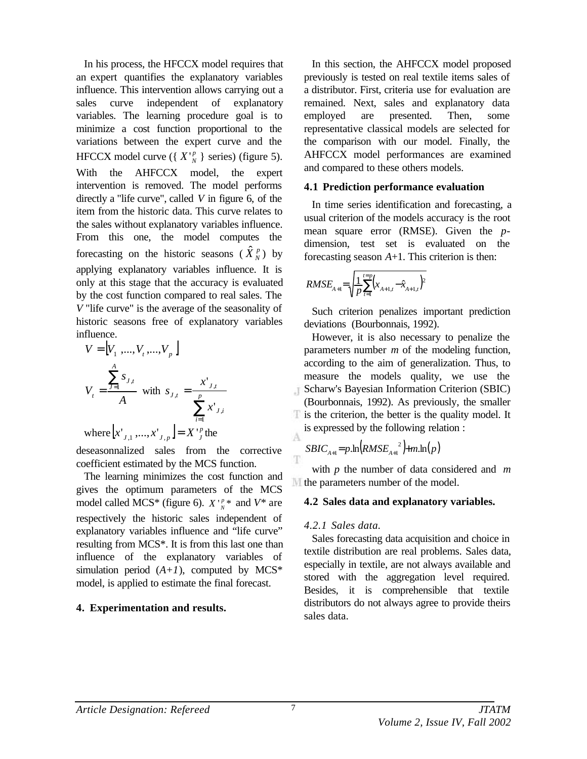In his process, the HFCCX model requires that an expert quantifies the explanatory variables influence. This intervention allows carrying out a sales curve independent of explanatory variables. The learning procedure goal is to minimize a cost function proportional to the variations between the expert curve and the HFCCX model curve ({ $X'_{N}$ } series) (figure 5). With the AHFCCX model, the expert intervention is removed. The model performs directly a "life curve", called *V* in figure 6, of the item from the historic data. This curve relates to the sales without explanatory variables influence. From this one, the model computes the forecasting on the historic seasons  $(\hat{X}_N^p)$  by applying explanatory variables influence. It is only at this stage that the accuracy is evaluated by the cost function compared to real sales. The *V* "life curve" is the average of the seasonality of historic seasons free of explanatory variables influence.

$$
V = [V_1, ..., V_t, ..., V_p]
$$
  
\n
$$
V_t = \frac{\sum_{j=1}^{A} s_{j,t}}{A} \text{ with } s_{j,t} = \frac{x_{j,t}}{\sum_{i=1}^{p} x_{j,i}}
$$
  
\nwhere  $[x_{j,1}, ..., x_{j,p}] = X_{j}^{\text{P}}$  the

deseasonnalized sales from the corrective coefficient estimated by the MCS function.

The learning minimizes the cost function and gives the optimum parameters of the MCS model called MCS<sup>\*</sup> (figure 6).  $X \frac{p}{N}$ <sup>\*</sup> and  $V^*$  are respectively the historic sales independent of explanatory variables influence and "life curve" resulting from MCS\*. It is from this last one than influence of the explanatory variables of simulation period  $(A+I)$ , computed by MCS<sup>\*</sup> model, is applied to estimate the final forecast.

### **4. Experimentation and results.**

In this section, the AHFCCX model proposed previously is tested on real textile items sales of a distributor. First, criteria use for evaluation are remained. Next, sales and explanatory data employed are presented. Then, some representative classical models are selected for the comparison with our model. Finally, the AHFCCX model performances are examined and compared to these others models.

### **4.1 Prediction performance evaluation**

In time series identification and forecasting, a usual criterion of the models accuracy is the root mean square error (RMSE). Given the *p*dimension, test set is evaluated on the forecasting season *A*+1. This criterion is then:

$$
RMSE_{A+1} = \sqrt{\frac{1}{p} \sum_{t=1}^{t=p} (x_{A+1,t} - \hat{x}_{A+1,t})^2}
$$

Such criterion penalizes important prediction deviations (Bourbonnais, 1992).

However, it is also necessary to penalize the parameters number *m* of the modeling function, according to the aim of generalization. Thus, to measure the models quality, we use the Scharw's Bayesian Information Criterion (SBIC) Ä. (Bourbonnais, 1992). As previously, the smaller is the criterion, the better is the quality model. It is expressed by the following relation :

$$
S BIC_{A+1} = p \cdot \ln \left(RMSE_{A+1}^{2}\right) + m \cdot \ln(p)
$$

with *p* the number of data considered and *m* the parameters number of the model.

### **4.2 Sales data and explanatory variables.**

### *4.2.1 Sales data.*

Sales forecasting data acquisition and choice in textile distribution are real problems. Sales data, especially in textile, are not always available and stored with the aggregation level required. Besides, it is comprehensible that textile distributors do not always agree to provide theirs sales data.

A

Ŧ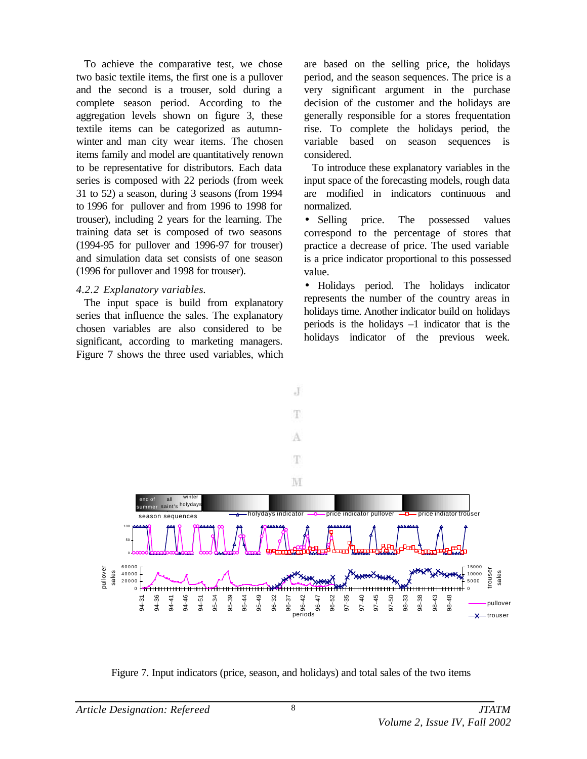To achieve the comparative test, we chose two basic textile items, the first one is a pullover and the second is a trouser, sold during a complete season period. According to the aggregation levels shown on figure 3, these textile items can be categorized as autumnwinter and man city wear items. The chosen items family and model are quantitatively renown to be representative for distributors. Each data series is composed with 22 periods (from week 31 to 52) a season, during 3 seasons (from 1994 to 1996 for pullover and from 1996 to 1998 for trouser), including 2 years for the learning. The training data set is composed of two seasons (1994-95 for pullover and 1996-97 for trouser) and simulation data set consists of one season (1996 for pullover and 1998 for trouser).

### *4.2.2 Explanatory variables.*

The input space is build from explanatory series that influence the sales. The explanatory chosen variables are also considered to be significant, according to marketing managers. Figure 7 shows the three used variables, which are based on the selling price, the holidays period, and the season sequences. The price is a very significant argument in the purchase decision of the customer and the holidays are generally responsible for a stores frequentation rise. To complete the holidays period, the variable based on season sequences is considered.

To introduce these explanatory variables in the input space of the forecasting models, rough data are modified in indicators continuous and normalized.

• Selling price. The possessed values correspond to the percentage of stores that practice a decrease of price. The used variable is a price indicator proportional to this possessed value.

• Holidays period. The holidays indicator represents the number of the country areas in holidays time. Another indicator build on holidays periods is the holidays  $-1$  indicator that is the holidays indicator of the previous week.



Figure 7. Input indicators (price, season, and holidays) and total sales of the two items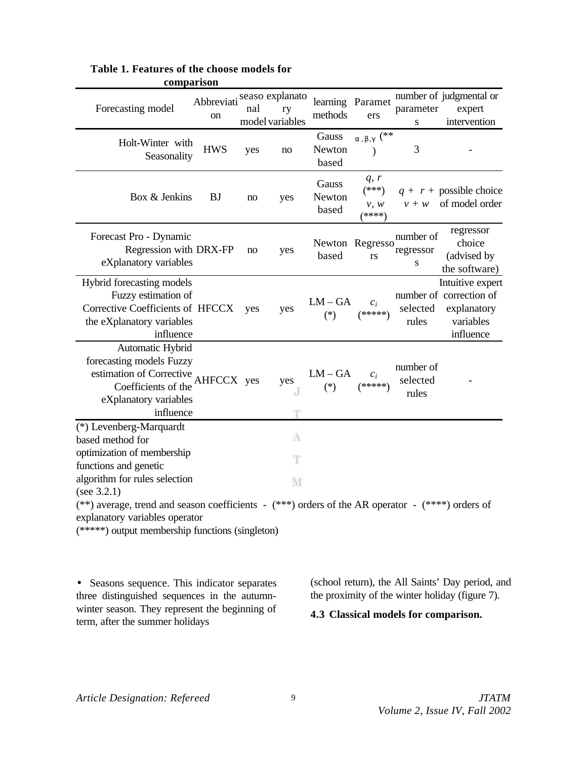| comparison                                                                                                                            |                  |     |                                          |                          |                                   |                                |                                                                                      |  |  |  |
|---------------------------------------------------------------------------------------------------------------------------------------|------------------|-----|------------------------------------------|--------------------------|-----------------------------------|--------------------------------|--------------------------------------------------------------------------------------|--|--|--|
| Forecasting model                                                                                                                     | Abbreviati<br>on | nal | seaso explanato<br>ry<br>model variables | methods                  | learning Paramet<br>ers           | parameter<br>S                 | number of judgmental or<br>expert<br>intervention                                    |  |  |  |
| Holt-Winter with<br>Seasonality                                                                                                       | <b>HWS</b>       | yes | no                                       | Gauss<br>Newton<br>based | $_{a \, , \, b \, , g}$ (**       | 3                              |                                                                                      |  |  |  |
| Box & Jenkins                                                                                                                         | <b>BJ</b>        | no  | yes                                      | Gauss<br>Newton<br>based | q, r<br>$(***)$<br>v, w<br>(****) | $v + w$                        | $q + r +$ possible choice<br>of model order                                          |  |  |  |
| Forecast Pro - Dynamic<br>Regression with DRX-FP<br>eXplanatory variables                                                             |                  | no  | yes                                      | based                    | Newton Regresso<br>rs             | number of<br>regressor<br>S    | regressor<br>choice<br>(advised by<br>the software)                                  |  |  |  |
| Hybrid forecasting models<br>Fuzzy estimation of<br>Corrective Coefficients of HFCCX yes<br>the eXplanatory variables<br>influence    |                  |     | yes                                      | $LM - GA$<br>$(*)$       | $c_i$<br>$(*****)$                | selected<br>rules              | Intuitive expert<br>number of correction of<br>explanatory<br>variables<br>influence |  |  |  |
| Automatic Hybrid<br>forecasting models Fuzzy<br>estimation of Corrective<br>Coefficients of the<br>eXplanatory variables<br>influence | AHFCCX yes       |     | yes<br>÷.                                | $LM - GA$<br>$(*)$       | $c_i$<br>$(*****)$                | number of<br>selected<br>rules |                                                                                      |  |  |  |
| (*) Levenberg-Marquardt                                                                                                               |                  |     | A                                        |                          |                                   |                                |                                                                                      |  |  |  |
| based method for                                                                                                                      |                  |     |                                          |                          |                                   |                                |                                                                                      |  |  |  |
| optimization of membership<br>functions and genetic                                                                                   |                  |     | Ŧ                                        |                          |                                   |                                |                                                                                      |  |  |  |
| algorithm for rules selection                                                                                                         |                  |     | M                                        |                          |                                   |                                |                                                                                      |  |  |  |
| (see $3.2.1$ )                                                                                                                        |                  |     |                                          |                          |                                   |                                |                                                                                      |  |  |  |
| (**) average, trend and season coefficients - (***) orders of the AR operator - (****) orders of                                      |                  |     |                                          |                          |                                   |                                |                                                                                      |  |  |  |
| explanatory variables operator                                                                                                        |                  |     |                                          |                          |                                   |                                |                                                                                      |  |  |  |
| (*****) output membership functions (singleton)                                                                                       |                  |     |                                          |                          |                                   |                                |                                                                                      |  |  |  |

### **Table 1. Features of the choose models for comparison**

• Seasons sequence. This indicator separates three distinguished sequences in the autumnwinter season. They represent the beginning of term, after the summer holidays

(school return), the All Saints' Day period, and the proximity of the winter holiday (figure 7).

**4.3 Classical models for comparison.**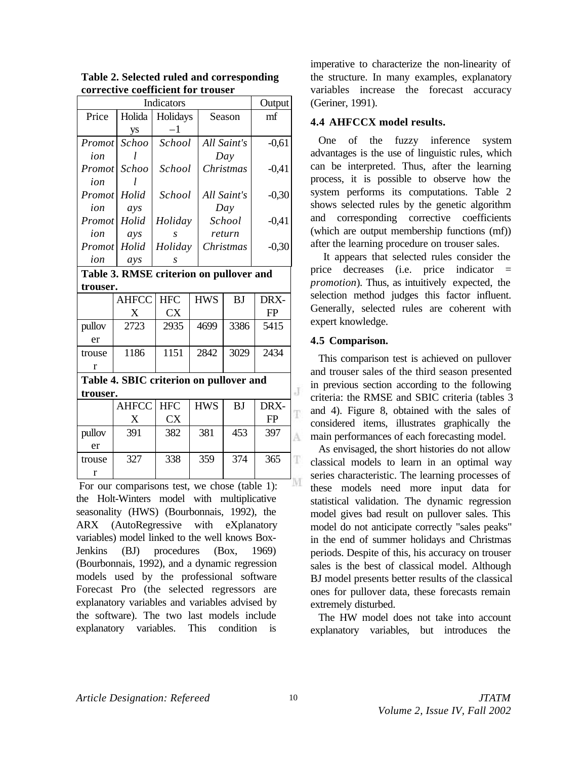|                                         | Output       |            |  |              |               |             |   |  |  |  |
|-----------------------------------------|--------------|------------|--|--------------|---------------|-------------|---|--|--|--|
| Price                                   | Holida       | Holidays   |  | Season       |               | mf          |   |  |  |  |
|                                         | ys           | $^{-1}$    |  |              |               |             |   |  |  |  |
| Promot                                  | Schoo        | School     |  | All Saint's  |               | $-0,61$     |   |  |  |  |
| ion                                     |              |            |  | Day          |               |             |   |  |  |  |
| Promot                                  | Schoo        | School     |  | Christmas    |               | $-0,41$     |   |  |  |  |
| ion                                     |              |            |  |              |               |             |   |  |  |  |
| Promot                                  | Holid        | School     |  | All Saint's  |               | $-0,30$     |   |  |  |  |
| ion                                     | ays          |            |  | Day          |               |             |   |  |  |  |
| Promot                                  | Holid        | Holiday    |  | School       |               | $-0,41$     |   |  |  |  |
| ion                                     | ays          | S          |  | return       |               |             |   |  |  |  |
| Promot                                  | Holid        | Holiday    |  | Christmas    |               | $-0,30$     |   |  |  |  |
| ion                                     | ays          | S          |  |              |               |             |   |  |  |  |
| Table 3. RMSE criterion on pullover and |              |            |  |              |               |             |   |  |  |  |
| trouser.                                |              |            |  |              |               |             |   |  |  |  |
|                                         | <b>AHFCC</b> | <b>HFC</b> |  | <b>HWS</b>   | <b>BJ</b>     | DRX-        |   |  |  |  |
|                                         | X            | <b>CX</b>  |  |              |               | FP          |   |  |  |  |
| pullov                                  | 2723         | 2935       |  | 4699         | 3386          | 5415        |   |  |  |  |
| er                                      |              |            |  |              |               |             |   |  |  |  |
| trouse                                  | 1186         | 1151       |  | 2842         | 3029          | 2434        |   |  |  |  |
| r                                       |              |            |  |              |               |             |   |  |  |  |
| Table 4. SBIC criterion on pullover and |              |            |  |              |               |             |   |  |  |  |
| trouser.                                |              |            |  |              |               |             | J |  |  |  |
|                                         | <b>AHFCC</b> | <b>HFC</b> |  | <b>HWS</b>   | <b>BJ</b>     | DRX-        |   |  |  |  |
|                                         | X            | <b>CX</b>  |  |              |               | FP          | Ŧ |  |  |  |
| pullov                                  | 391          | 382        |  | 381          | 453           | 397         | Å |  |  |  |
| er                                      |              |            |  |              |               |             |   |  |  |  |
| trouse                                  | 327          | 338        |  | 359          | 374           | 365         | Ŧ |  |  |  |
| $\bf r$                                 |              |            |  |              |               |             |   |  |  |  |
| r                                       | $\cdot$ .    |            |  | $\mathbf{1}$ | $(1 - 1 - 1)$ | $1 \lambda$ |   |  |  |  |

**Table 2. Selected ruled and corresponding corrective coefficient for trouser**

For our comparisons test, we chose (table 1): the Holt-Winters model with multiplicative seasonality (HWS) (Bourbonnais, 1992), the ARX (AutoRegressive with eXplanatory variables) model linked to the well knows Box-Jenkins (BJ) procedures (Box, 1969) (Bourbonnais, 1992), and a dynamic regression models used by the professional software Forecast Pro (the selected regressors are explanatory variables and variables advised by the software). The two last models include explanatory variables. This condition is

imperative to characterize the non-linearity of the structure. In many examples, explanatory variables increase the forecast accuracy (Geriner, 1991).

#### **4.4 AHFCCX model results.**

One of the fuzzy inference system advantages is the use of linguistic rules, which can be interpreted. Thus, after the learning process, it is possible to observe how the system performs its computations. Table 2 shows selected rules by the genetic algorithm and corresponding corrective coefficients (which are output membership functions (mf)) after the learning procedure on trouser sales.

 It appears that selected rules consider the price decreases (i.e. price indicator = *promotion*). Thus, as intuitively expected, the selection method judges this factor influent. Generally, selected rules are coherent with expert knowledge.

#### **4.5 Comparison.**

This comparison test is achieved on pullover and trouser sales of the third season presented in previous section according to the following criteria: the RMSE and SBIC criteria (tables 3 and 4). Figure 8, obtained with the sales of considered items, illustrates graphically the main performances of each forecasting model.

As envisaged, the short histories do not allow classical models to learn in an optimal way series characteristic. The learning processes of these models need more input data for statistical validation. The dynamic regression model gives bad result on pullover sales. This model do not anticipate correctly "sales peaks" in the end of summer holidays and Christmas periods. Despite of this, his accuracy on trouser sales is the best of classical model. Although BJ model presents better results of the classical ones for pullover data, these forecasts remain extremely disturbed.

The HW model does not take into account explanatory variables, but introduces the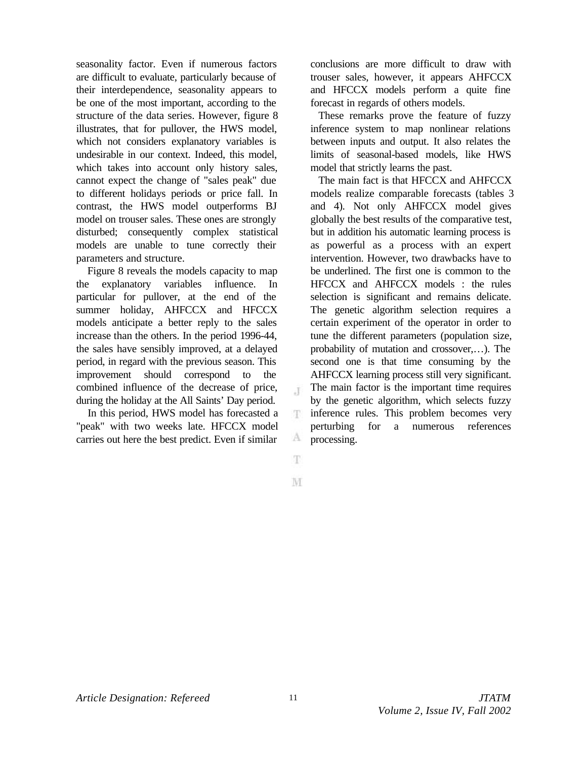seasonality factor. Even if numerous factors are difficult to evaluate, particularly because of their interdependence, seasonality appears to be one of the most important, according to the structure of the data series. However, figure 8 illustrates, that for pullover, the HWS model, which not considers explanatory variables is undesirable in our context. Indeed, this model, which takes into account only history sales, cannot expect the change of "sales peak" due to different holidays periods or price fall. In contrast, the HWS model outperforms BJ model on trouser sales. These ones are strongly disturbed; consequently complex statistical models are unable to tune correctly their parameters and structure.

 Figure 8 reveals the models capacity to map the explanatory variables influence. In particular for pullover, at the end of the summer holiday, AHFCCX and HFCCX models anticipate a better reply to the sales increase than the others. In the period 1996-44, the sales have sensibly improved, at a delayed period, in regard with the previous season. This improvement should correspond to the combined influence of the decrease of price, during the holiday at the All Saints' Day period.

 In this period, HWS model has forecasted a "peak" with two weeks late. HFCCX model carries out here the best predict. Even if similar

conclusions are more difficult to draw with trouser sales, however, it appears AHFCCX and HFCCX models perform a quite fine forecast in regards of others models.

These remarks prove the feature of fuzzy inference system to map nonlinear relations between inputs and output. It also relates the limits of seasonal-based models, like HWS model that strictly learns the past.

The main fact is that HFCCX and AHFCCX models realize comparable forecasts (tables 3 and 4). Not only AHFCCX model gives globally the best results of the comparative test, but in addition his automatic learning process is as powerful as a process with an expert intervention. However, two drawbacks have to be underlined. The first one is common to the HFCCX and AHFCCX models : the rules selection is significant and remains delicate. The genetic algorithm selection requires a certain experiment of the operator in order to tune the different parameters (population size, probability of mutation and crossover,…). The second one is that time consuming by the AHFCCX learning process still very significant. The main factor is the important time requires by the genetic algorithm, which selects fuzzy inference rules. This problem becomes very perturbing for a numerous references processing.

果

Æ.

里

А

M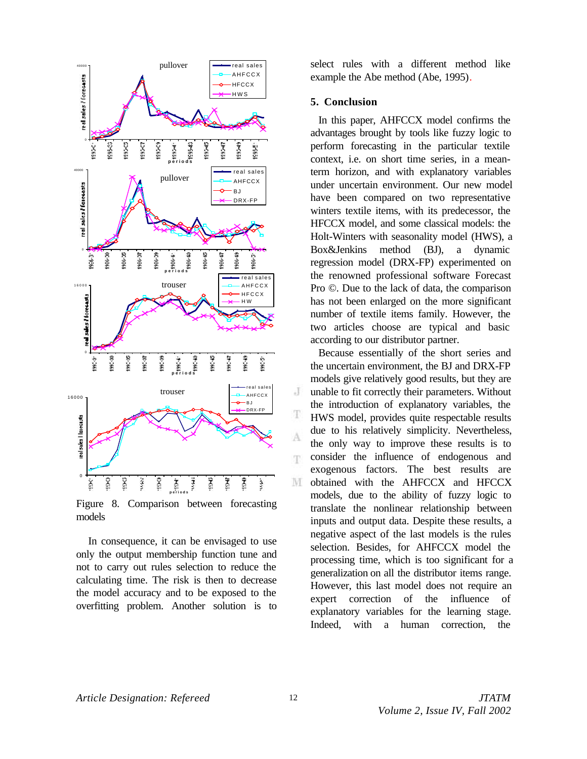

Figure 8. Comparison between forecasting models

 In consequence, it can be envisaged to use only the output membership function tune and not to carry out rules selection to reduce the calculating time. The risk is then to decrease the model accuracy and to be exposed to the overfitting problem. Another solution is to select rules with a different method like example the Abe method (Abe, 1995).

#### **5. Conclusion**

In this paper, AHFCCX model confirms the advantages brought by tools like fuzzy logic to perform forecasting in the particular textile context, i.e. on short time series, in a meanterm horizon, and with explanatory variables under uncertain environment. Our new model have been compared on two representative winters textile items, with its predecessor, the HFCCX model, and some classical models: the Holt-Winters with seasonality model (HWS), a Box&Jenkins method (BJ), a dynamic regression model (DRX-FP) experimented on the renowned professional software Forecast Pro ©. Due to the lack of data, the comparison has not been enlarged on the more significant number of textile items family. However, the two articles choose are typical and basic according to our distributor partner.

Because essentially of the short series and the uncertain environment, the BJ and DRX-FP models give relatively good results, but they are unable to fit correctly their parameters. Without the introduction of explanatory variables, the HWS model, provides quite respectable results due to his relatively simplicity. Nevertheless, the only way to improve these results is to consider the influence of endogenous and exogenous factors. The best results are obtained with the AHFCCX and HFCCX models, due to the ability of fuzzy logic to translate the nonlinear relationship between inputs and output data. Despite these results, a negative aspect of the last models is the rules selection. Besides, for AHFCCX model the processing time, which is too significant for a generalization on all the distributor items range. However, this last model does not require an expert correction of the influence of explanatory variables for the learning stage. Indeed, with a human correction, the

J

Ŧ

Å

Ŧ.

M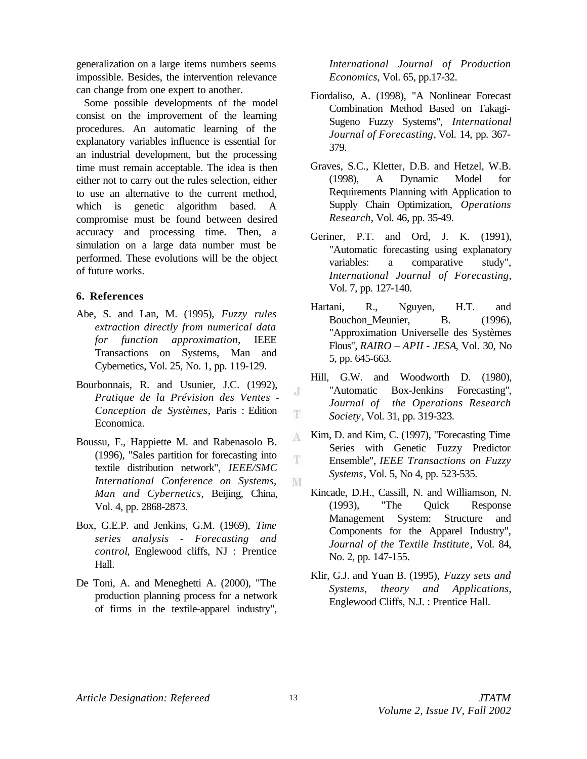generalization on a large items numbers seems impossible. Besides, the intervention relevance can change from one expert to another.

Some possible developments of the model consist on the improvement of the learning procedures. An automatic learning of the explanatory variables influence is essential for an industrial development, but the processing time must remain acceptable. The idea is then either not to carry out the rules selection, either to use an alternative to the current method, which is genetic algorithm based. A compromise must be found between desired accuracy and processing time. Then, a simulation on a large data number must be performed. These evolutions will be the object of future works.

#### **6. References**

- Abe, S. and Lan, M. (1995), *Fuzzy rules extraction directly from numerical data for function approximation*, IEEE Transactions on Systems, Man and Cybernetics, Vol. 25, No. 1, pp. 119-129.
- Bourbonnais, R. and Usunier, J.C. (1992), *Pratique de la Prévision des Ventes - Conception de Systèmes*, Paris : Edition Economica.
- Boussu, F., Happiette M. and Rabenasolo B. (1996), "Sales partition for forecasting into textile distribution network", *IEEE/SMC International Conference on Systems, Man and Cybernetics*, Beijing, China, Vol. 4, pp. 2868-2873.
- Box, G.E.P. and Jenkins, G.M. (1969), *Time series analysis - Forecasting and control*, Englewood cliffs, NJ : Prentice Hall.
- De Toni, A. and Meneghetti A. (2000), "The production planning process for a network of firms in the textile-apparel industry",

*International Journal of Production Economics*, Vol. 65, pp.17-32.

- Fiordaliso, A. (1998), "A Nonlinear Forecast Combination Method Based on Takagi-Sugeno Fuzzy Systems", *International Journal of Forecasting*, Vol. 14, pp. 367- 379.
- Graves, S.C., Kletter, D.B. and Hetzel, W.B. (1998), A Dynamic Model for Requirements Planning with Application to Supply Chain Optimization, *Operations Research*, Vol. 46, pp. 35-49.
- Geriner, P.T. and Ord, J. K. (1991), "Automatic forecasting using explanatory variables: a comparative study", *International Journal of Forecasting*, Vol. 7, pp. 127-140.
- Hartani, R., Nguyen, H.T. and Bouchon Meunier, B. (1996), "Approximation Universelle des Systèmes Flous", *RAIRO – APII - JESA*, Vol. 30, No 5, pp. 645-663.
- Hill, G.W. and Woodworth D. (1980), "Automatic Box-Jenkins Forecasting", *Journal of the Operations Research Society*, Vol. 31, pp. 319-323.
- Kim, D. and Kim, C. (1997), "Forecasting Time A Series with Genetic Fuzzy Predictor Ŧ Ensemble", *IEEE Transactions on Fuzzy Systems*, Vol. 5, No 4, pp. 523-535. M
	- Kincade, D.H., Cassill, N. and Williamson, N. (1993), "The Quick Response Management System: Structure and Components for the Apparel Industry", *Journal of the Textile Institute*, Vol. 84, No. 2, pp. 147-155.
	- Klir, G.J. and Yuan B. (1995), *Fuzzy sets and Systems, theory and Applications*, Englewood Cliffs, N.J. : Prentice Hall.

J

Ŧ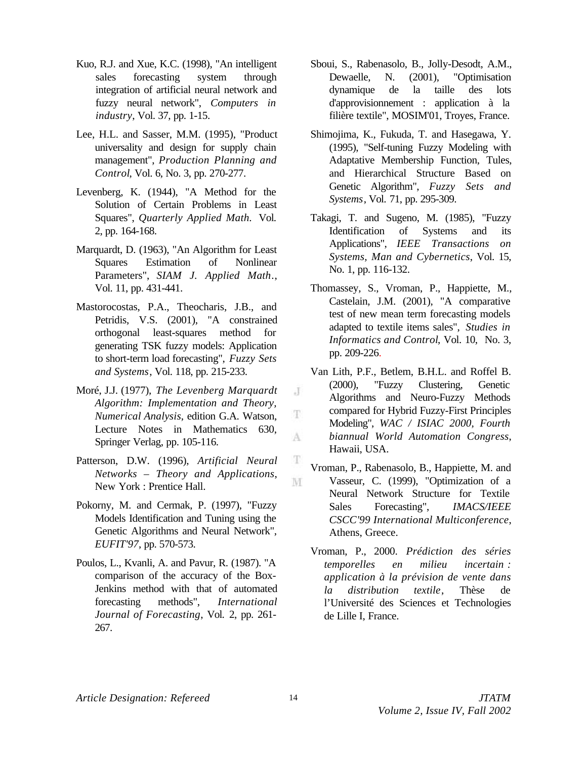- Kuo, R.J. and Xue, K.C. (1998), "An intelligent sales forecasting system through integration of artificial neural network and fuzzy neural network", *Computers in industry*, Vol. 37, pp. 1-15.
- Lee, H.L. and Sasser, M.M. (1995), "Product universality and design for supply chain management", *Production Planning and Control*, Vol. 6, No. 3, pp. 270-277.
- Levenberg, K. (1944), "A Method for the Solution of Certain Problems in Least Squares", *Quarterly Applied Math.* Vol. 2, pp. 164-168.
- Marquardt, D. (1963), "An Algorithm for Least Squares Estimation of Nonlinear Parameters", *SIAM J. Applied Math.*, Vol. 11, pp. 431-441.
- Mastorocostas, P.A., Theocharis, J.B., and Petridis, V.S. (2001), "A constrained orthogonal least-squares method for generating TSK fuzzy models: Application to short-term load forecasting", *Fuzzy Sets and Systems*, Vol. 118, pp. 215-233.
- Moré, J.J. (1977), *The Levenberg Marquardt Algorithm: Implementation and Theory, Numerical Analysis*, edition G.A. Watson, Lecture Notes in Mathematics 630, Springer Verlag, pp. 105-116.
- Patterson, D.W. (1996), *Artificial Neural Networks – Theory and Applications*, New York : Prentice Hall.
- Pokorny, M. and Cermak, P. (1997), "Fuzzy Models Identification and Tuning using the Genetic Algorithms and Neural Network", *EUFIT'97*, pp. 570-573.
- Poulos, L., Kvanli, A. and Pavur, R. (1987). "A comparison of the accuracy of the Box-Jenkins method with that of automated forecasting methods", *International Journal of Forecasting*, Vol. 2, pp. 261- 267.
- Sboui, S., Rabenasolo, B., Jolly-Desodt, A.M., Dewaelle, N. (2001), "Optimisation dynamique de la taille des lots d'approvisionnement : application à la filière textile", MOSIM'01, Troyes, France.
- Shimojima, K., Fukuda, T. and Hasegawa, Y. (1995), "Self-tuning Fuzzy Modeling with Adaptative Membership Function, Tules, and Hierarchical Structure Based on Genetic Algorithm", *Fuzzy Sets and Systems*, Vol. 71, pp. 295-309.
- Takagi, T. and Sugeno, M. (1985), "Fuzzy Identification of Systems and its Applications", *IEEE Transactions on Systems, Man and Cybernetics*, Vol. 15, No. 1, pp. 116-132.
- Thomassey, S., Vroman, P., Happiette, M., Castelain, J.M. (2001), "A comparative test of new mean term forecasting models adapted to textile items sales", *Studies in Informatics and Control*, Vol. 10, No. 3, pp. 209-226.
- Van Lith, P.F., Betlem, B.H.L. and Roffel B. (2000), "Fuzzy Clustering, Genetic Algorithms and Neuro-Fuzzy Methods compared for Hybrid Fuzzy-First Principles Modeling", *WAC / ISIAC 2000, Fourth biannual World Automation Congress*, Hawaii, USA.
- Vroman, P., Rabenasolo, B., Happiette, M. and Vasseur, C. (1999), "Optimization of a Neural Network Structure for Textile Sales Forecasting", *IMACS/IEEE CSCC'99 International Multiconference*, Athens, Greece.
- Vroman, P., 2000. *Prédiction des séries temporelles en milieu incertain : application à la prévision de vente dans la distribution textile*, Thèse de l'Université des Sciences et Technologies de Lille I, France.

J

Ŧ

A

Ŧ

M